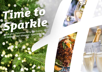# *Time to [Sparkle](https://eastkilbride.hichristmas.co.uk) Book your Christmas Party and Events*

*at Holiday Inn® Glasgow - East Kilbride*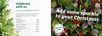Why not join us at the Holiday Inn Glasgow - East Kilbride to celebrate Christmas 2022 in style?

Whether you're looking to organise a spectacular Christmas party for colleagues, a festive night out for friends or a celebratory feast with loved ones, we've got the perfect package for you.

### *Celebrate with us*



2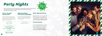# *[Party Nights](https://eastkilbride.hichristmas.co.uk)*



#### *Dance Through the Decades*

A glass of chilled fizz will be waiting for you upon arrival at our festive party night. Enjoy a three-course meal and then dance the night away with our DJ who will take you through the decades with all the party classics!

> **£39.95 per adult** Saturday 10<sup>th</sup> December

**£24.95 per adult**

**Friday 23rd December**

#### *Abba Very Merry Christmas Party Night*

**Friday 9th & 16th December Saturday 17<sup>th</sup> December** 

Calling all dancing queens and super troupers! Enjoy a three-course meal before dancing the night away to our fabba-u-lous Abba Tribute act and resident DJ.

**£29.95 per adult**

**Fridays: 18th & 25th November and 2nd December Saturdays: 26th November, 3rd December & 21st January**

**£32.95 per adult**

#### *Meet, Stay and Party*

Work, rest and play! Join us throughout November, December or January with your colleagues for a full-day meeting, your choice of celebration in the evening, overnight accommodation and breakfast the following day. Plan your end-of-year meeting today! Please enquire for availability and pricing.

#### *Private Parties*

From intimate family gatherings to large corporate parties, we have functions rooms available to hire based on your requirements. Please contact us so we can help you plan your perfect celebration. Minimum numbers apply. Prices available upon request. Pre-booking only and subject to availability. Dates sell fast so enquire today!

Our festive party nights can accommodate up to 250 people and feature a private bar area. All party nights commence at 7.30pm, dinner served at 8.00pm, last orders at mid-night and carriages at 12.30am.

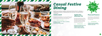## *[Casual Festive](https://eastkilbride.hichristmas.co.uk) Dining*

Whether you're looking to organise a spectacular Christmas dinner for colleagues, a festive lunch for friends or a celebratory feast with loved ones, we've got the perfect event for you.

#### *Festive Lunch*

Our festive lunches are perfect for any occasion, whether you want to spend time with family, friends or work colleagues. Includes a glass of fizz upon arrival and a three-course festive meal.

**Available seven days a week. (subject to availability). Pre-booking essential. Call 03333 209 328 opt 4 to book.**

#### *Pizza and Prosecco*

Pizza and Prosecco = Perfect! Book today so you can enjoy a pizza and a glass of Prosecco each in the relaxed atmosphere of our Open Lobby.

#### **£14.95 per person**

#### *Festive Fizz Afternoon Tea*

Enjoy a festive afternoon tea, including tea & coffee and a refreshing glass of fizz! The perfect treat for anyone to enjoy. It also includes a selection of sandwiches, scones with cream & jam and a mouthwatering slice of seasonal cake.



#### **£18.00 per person**



**From £17.95 per person**

**Available every Tuesday and Thursday throughout December at 12pm, 12:30pm and 1pm. Pre-booking essential, available to book online.** 

**Fridays and Sundays throughout December at 5pm, 6pm and 6:30pm. Available to book online.**

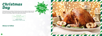### *[Christmas](https://eastkilbride.hichristmas.co.uk)  Day*

Nothing brings the true feeling of Christmas Day closer than a delicious festive lunch with your nearest and dearest. Enjoy a fantastic three course meal with tea & coffee to finish, leaving us to do the dishes! A gift for the children will be provided.

**£59.95 per adult**

**£24.95 per child (aged 3-12 years)**

**Under 3's eat free**

#### *Menus to follow*



**Sunday 25th December Sittings available at 2.30pm and 4.30pm**

8

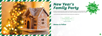## *New Year's [Family Party](https://eastkilbride.hichristmas.co.uk)*

Let's get the party started with a night for all the family to enjoy! You will be greeted with a drink upon arrival, followed by fantastic food, children's party games and disco until 12:10am.

Think the little ones might be tired? We have family rooms available too!

**£49.50 per adult £24.95 per child (aged 3-12 years) Under 3's eat free**

**Saturday 31st December** 



*Menus to follow*

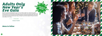### *[Adults Only](https://eastkilbride.hichristmas.co.uk)  New Year's Eve Gala*

We have an amazing night planned so you can see in 2023 in style! Let us welcome you with a festive cocktail upon arrival before making your way to the function room, where you will be served an amazing four-course meal with tea and coffee to finish. The night truly begins with a disco until 2am so you can dance the night away. Enjoy a midnight munchie and a glass of Prosecco once the clock strikes 12. 18+ only.

**£64.95 per adult**

**Saturday 31st December** 

#### *Menu to follow*



*Click to book*

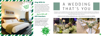### *Stay With Us*

Why not make a night of it and enjoy our special Christmas rates? Room types include standard double, family and twin. Take advantage of up to 20% off our best flexible, bed and breakfast rate. No deposit required and can be cancelled free of charge up to 48 hours prior to arrival.

### *Gift Vouchers*  $-$  Up to 20% off  $-$

We are excited to share with you the amazing gift vouchers we now have available at Holiday Inn Glasgow - East Kilbride. From delightful afternoon teas to overnight break packages, there's a gift for everyone. Give the gift of travel this year!



Christmas is such a wonderful time of year, why not consider having a festive wedding celebration? Our weddings are [available all year round and our fantastic wedding team will work with you to ensure you get everything you desire to](http://www.hieastkilbride.com/weddings/)  make your special day a dream come true.



#### Contact us to start creating a wedding that's you, or click to find out more about our weddings